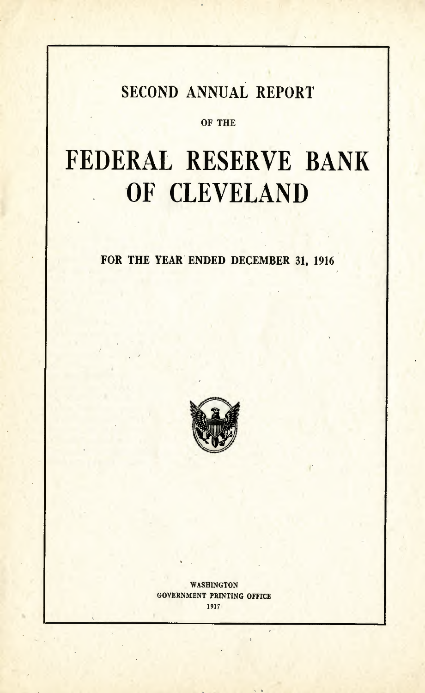## SECOND ANNUAL REPORT

#### OF THE

# **FEDERAL RESERVE BANK** 'OF **CLEVELAND**

FOR THE YEAR ENDED DECEMBER 31, 1916



WASHINGTON GOVERNMENT PRINTING OFFICE 1917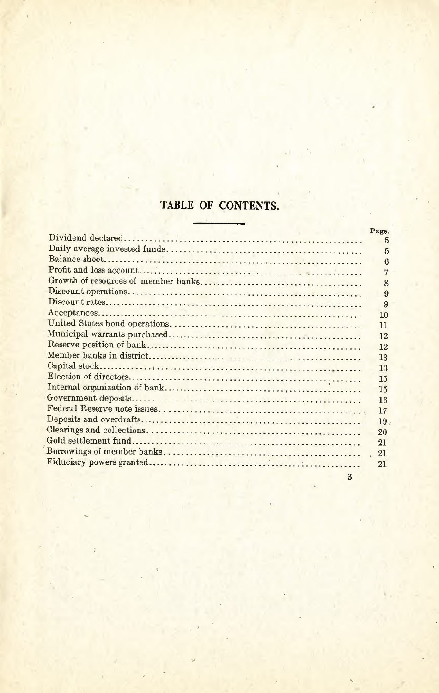### **TABLE OF CONTENTS.**

| Page.           |
|-----------------|
| 5               |
| 5               |
| 6               |
|                 |
| 8               |
| 9               |
| 9               |
| 10              |
| 11              |
| 12              |
| 12              |
| 13              |
| 13              |
| 15              |
| 15              |
| 16              |
| 17              |
| 19 <sub>1</sub> |
| 20              |
| 21              |
| 21              |
| 21              |
|                 |

3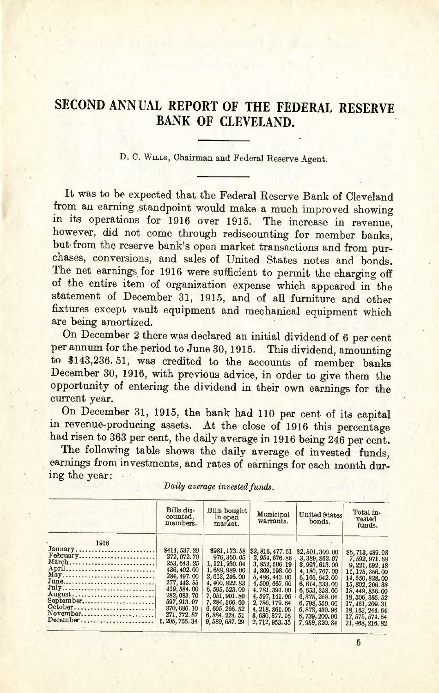## **SECOND ANN VAL REPORT OF THE FEDERAL RESERVE BANK OF CLEVELAND.**

D. C. WILLS, Chairman and Federal Reserve Agent.

It was to be expected that the Federal Reserve Bank of Cleveland from an earning standpoint would make a much improved showing in its operations for 1916 over 1915. The increase in revenue, however, did not come through rediscounting for member banks, but from the reserve bank's open market transactions and from purchases, conversions, and sales of United States notes and bonds. The net earnings for 1916 were sufficient to permit the charging off of the entire item of organization expense which appeared in the statement of December 31, 1915, and of all furniture and other fixtures except vault equipment and mechanical equipment which are being amortized.

On December 2 there was declared an initial dividend of 6 per cent per annum for the period to June 30, 1915. This dividend, amounting to \$143,236.51, was credited to the accounts of member banks December 30, 1916, with previous advice, in order to give them the opportunity of entering the dividend in their own earnings for the current year.

On December 31, 1915, the bank had 110 per cent of its capital in revenue-producing assets. At the close of 1916 this percentage had risen to 363 per cent, the daily average in 1916 being 246 per cent.

The following table shows the daily average of invested funds, earnings from investments, and rates of earnings for each month during the year:

|                                                                                                                                | Bills dis-<br>counted.<br>members.                                                                                                                                                          | <b>Bills</b> bought<br>in open<br>market.                                                                                                                                                                      | Municipal<br>warrants.                                                                                                                                                                                           | <b>United States</b><br>bonds.                                                                                                                                                                                  | Total in-<br>vested<br>funds.                                                                                                                                                                                                       |
|--------------------------------------------------------------------------------------------------------------------------------|---------------------------------------------------------------------------------------------------------------------------------------------------------------------------------------------|----------------------------------------------------------------------------------------------------------------------------------------------------------------------------------------------------------------|------------------------------------------------------------------------------------------------------------------------------------------------------------------------------------------------------------------|-----------------------------------------------------------------------------------------------------------------------------------------------------------------------------------------------------------------|-------------------------------------------------------------------------------------------------------------------------------------------------------------------------------------------------------------------------------------|
| 1916<br>January<br>February<br>March<br>April<br>May<br>June<br>July<br>August<br>September<br>October<br>November<br>December | \$414,537.89<br>272, 072. 70<br>253, 643. 25<br>436, 402.00<br>284, 497.00<br>277, 443.55<br>419, 584, 00<br>282, 083. 70<br>597, 913, 07<br>370, 686. 10<br>271, 772, 87<br>1, 205, 755.34 | \$981, 173.58<br>976, 360.05<br>1, 121, 930.04<br>1,688,989.00<br>2, 613, 246, 00<br>4, 400, 822, 83<br>6, 595, 523, 00<br>7,051,901.80<br>7, 284, 566, 60<br>6, 695, 266.52<br>6, 884, 224.51<br>9,589,687.29 | \$2,816,477.61<br>2, 954, 676, 86<br>3, 852, 506.19<br>4,869,198.00<br>5, 486, 443.00<br>4,509,667.00<br>4,781,391,00<br>4, 597, 141.96<br>2, 780, 179. 64<br>4, 218, 861, 06<br>3,680,377.16<br>2, 712, 953, 35 | \$2,501,300.00<br>3, 389, 862.07<br>3,993,613.00<br>4, 180, 767, 00<br>6,166,642.00<br>6, 614, 333, 00<br>6, 653, 358, 00<br>6, 375, 258, 06<br>6,798,550.00<br>6,878,430.96<br>6,739,200,00<br>7, 959, 820, 84 | \$6,713,489.08<br>7,592,971.68<br>9, 221, 692, 48<br>11, 175, 356, 00<br>14, 550, 828, 00<br>15, 802, 266.38<br>18, 449, 856, 00<br>18, 306, 385, 52<br>17, 461, 209.31<br>18, 163, 244, 64<br>17, 575, 574, 54<br>21, 468, 216, 82 |

*Daily average invested funds.*

5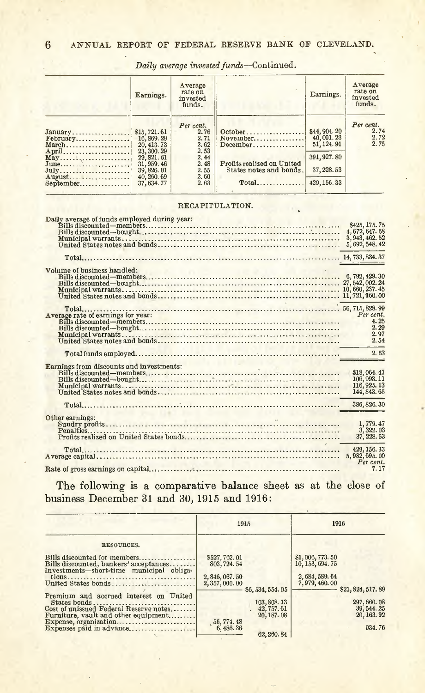|                                            | Earnings.                                                               | Average<br>rate on<br>invested<br>funds.  |                                                                                     | Earnings.                                  | Average<br>rate on<br>invested<br>funds. |
|--------------------------------------------|-------------------------------------------------------------------------|-------------------------------------------|-------------------------------------------------------------------------------------|--------------------------------------------|------------------------------------------|
| January<br>April                           | \$15,721.61<br>16,869.29<br>20, 413. 73<br>23, 300, 29                  | Per cent.<br>2.76<br>2.71<br>2.62<br>2.53 | $October \dots \dots \dots \dots \dots$<br>November<br>$December \dots \dots \dots$ | \$44,904.20<br>40,091.23<br>51, 124, 91    | Per cent.<br>2.74<br>2.72<br>2.75        |
| May<br>June<br>July<br>August<br>September | 29, 821, 61<br>31, 959, 46<br>39, 826, 01<br>40, 260, 69<br>37, 634, 77 | 2.44<br>2.48<br>2.55<br>2.60<br>2.63      | Profits realized on United<br>States notes and bonds.<br>$Total$                    | 391, 927.80<br>37, 228, 53<br>429, 156. 33 |                                          |

*Daily average invested funds-Continued.*

#### RECAPITULATION.

|                                    | \$425, 175.75                                         |
|------------------------------------|-------------------------------------------------------|
|                                    |                                                       |
|                                    | 4, 672, 647, 68<br>3, 943, 462, 52<br>5, 692, 548, 42 |
|                                    |                                                       |
|                                    |                                                       |
|                                    |                                                       |
|                                    |                                                       |
| Volume of business handled:        |                                                       |
|                                    |                                                       |
|                                    |                                                       |
|                                    |                                                       |
|                                    |                                                       |
|                                    |                                                       |
|                                    | Per cent.                                             |
| Average rate of earnings for year: | 4.25                                                  |
|                                    |                                                       |
|                                    | 2.29                                                  |
|                                    | 2.97                                                  |
|                                    | 2.54                                                  |
|                                    | 2.63                                                  |
|                                    |                                                       |
|                                    | \$18,064.41                                           |
|                                    |                                                       |
|                                    | 106, 993. 11                                          |
|                                    | 116, 925, 13                                          |
|                                    | 144, 843, 65                                          |
|                                    |                                                       |
|                                    |                                                       |
|                                    | 386, 826, 30                                          |
| Other earnings:                    |                                                       |
|                                    | 1,779.47                                              |
|                                    |                                                       |
|                                    | 3, 322.03<br>37, 228, 53                              |
|                                    |                                                       |
|                                    | 429, 156, 33                                          |
|                                    |                                                       |
|                                    | 7.17                                                  |

The following is a comparative balance sheet as at the close of business December 31 and 30, 1915 and 1916:

|                                                                                                                    |                                  | 1915                      |                                    | 1916                        |
|--------------------------------------------------------------------------------------------------------------------|----------------------------------|---------------------------|------------------------------------|-----------------------------|
| RESOURCES.                                                                                                         |                                  |                           |                                    |                             |
| Bills discounted for members<br>Bills discounted, bankers' acceptances<br>Investments-short-time municipal obliga- | \$527,762.01<br>803, 724, 54     |                           | \$1,006,773.50<br>10, 153, 694. 75 |                             |
| United States bonds                                                                                                | 2, 846, 067.50<br>2, 357, 000.00 |                           | 2, 684, 589, 64<br>7,979,460.00    |                             |
| Premium and accrued interest on United                                                                             |                                  | \$6, 534, 554, 05         |                                    | \$21, 824, 517, 89          |
| States bonds<br>Cost of unissued Federal Reserve notes                                                             |                                  | 103, 808. 13              |                                    | 297, 660, 08<br>39, 544, 25 |
| Furniture, vault and other equipment                                                                               |                                  | 42, 757.61<br>20, 187, 08 |                                    | 20, 163, 92                 |
| Expenses paid in advance                                                                                           | 55, 774.48<br>6,486.36           |                           |                                    | 934.76                      |
|                                                                                                                    |                                  | 62, 260, 84               |                                    |                             |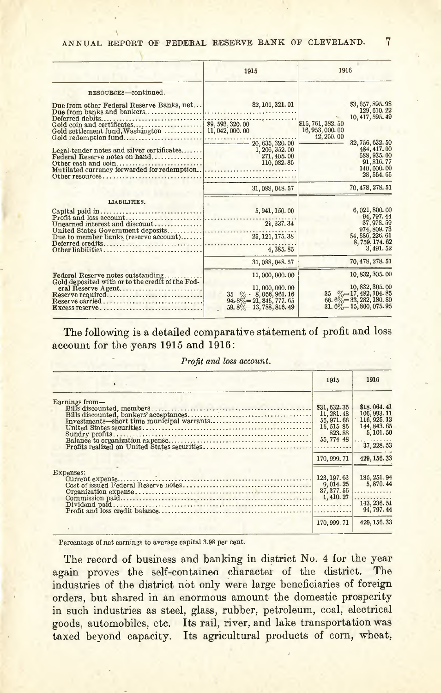|                                                                                                                                           | 1915                                                             | 1916                                                                                                    |
|-------------------------------------------------------------------------------------------------------------------------------------------|------------------------------------------------------------------|---------------------------------------------------------------------------------------------------------|
| RESOURCES-continued.                                                                                                                      |                                                                  |                                                                                                         |
| Due from other Federal Reserve Banks, net<br>Deferred debits<br>Gold settlement fund, Washington  11, 042, 000.00<br>Gold redemption fund | \$2, 101, 321.01                                                 | \$3,657,895.98<br>129, 610. 22<br>10, 417, 595, 49<br>\$15,761,382.50<br>16, 953, 000. 00<br>42, 250.00 |
| Legal-tender notes and silver certificates<br>Federal Reserve notes on hand<br>Other resources                                            | 20, 635, 320.00<br>1, 206, 352, 00<br>271, 405, 00<br>110,082.85 | 32, 756, 632. 50<br>484, 417.00<br>588, 935.00<br>91, 816, 77<br>140,000.00<br>28, 554. 65              |
|                                                                                                                                           | 31, 088, 048.57                                                  | 70, 478, 278, 51                                                                                        |
| LIABILITIES.                                                                                                                              |                                                                  |                                                                                                         |
|                                                                                                                                           | 5, 941, 150.00                                                   | 6,021,800.00<br>94, 797.44                                                                              |
| Unearned interest and discount                                                                                                            | 21, 337. 34                                                      | 37, 978, 59<br>974, 809.73                                                                              |
| Due to member banks (reserve account)                                                                                                     |                                                                  | 54, 586, 226, 61                                                                                        |
| Other liabilities                                                                                                                         | 4,385.85                                                         | 8, 759, 174. 62<br>3, 491, 52                                                                           |
|                                                                                                                                           | 31, 088, 048, 57                                                 | 70, 478, 278, 51                                                                                        |
| Federal Reserve notes outstanding<br>Gold deposited with or to the credit of the Fed-                                                     | 11,000,000.00                                                    | 10, 832, 305, 00                                                                                        |
| eral Reserve Agent                                                                                                                        | 11,000,000.00                                                    | $\begin{array}{r} 10,832,305.00 \\ 35 \quad \% = 17,482,104.85 \end{array}$                             |
| Reserve required<br>Reserve carried                                                                                                       | 35 $\% = 8,056,961.16$<br>94.8%=21,845,777.65                    | $66.6\% = 33,282,180.80$                                                                                |
| Excess reserve                                                                                                                            | $59.8\% = 13,788,816.49$                                         | $31.6\% = 15,800,075.95$                                                                                |

The following is a detailed comparative statement of profit and loss account for the years 1915 and 1916:

|  |  |  | Profit and loss account. |
|--|--|--|--------------------------|
|--|--|--|--------------------------|

|                | 1915         | 1916                       |
|----------------|--------------|----------------------------|
| Earnings from- |              |                            |
|                | \$31,632.35  | \$18,064.41                |
|                | 11, 281, 48  | 106, 993. 11               |
|                | 55, 971, 66  | 116, 925. 13               |
|                | 15, 515, 86  |                            |
|                | 823.88       | 144, 843. 65<br>5, 101. 50 |
|                |              | .                          |
|                |              | 37, 228, 53                |
|                | 170, 999, 71 | 429, 156. 33               |
| Expenses:      |              |                            |
|                | 123, 197. 63 | 185, 251.94                |
|                | 9,014.25     | 5,870.44                   |
|                |              | $37,377.56$                |
|                |              |                            |
|                |              |                            |
|                |              | 94, 797, 44                |
|                | 170, 999. 71 | 429, 156. 33               |

Percentage of net earnings to average capital 3.98 per cent.

The record of business and banking in district No. 4 for the year again proves the self-contained character of the district. The industries of the district not only were large beneficiaries of foreign orders, but shared in an enormous amount the domestic prosperity in such industries as steel, glass, rubber, petroleum, coal, electrical goods, automobiles, etc. Its rail, river, and lake transportation was taxed beyond capacity. Its agricultural products of corn, wheat,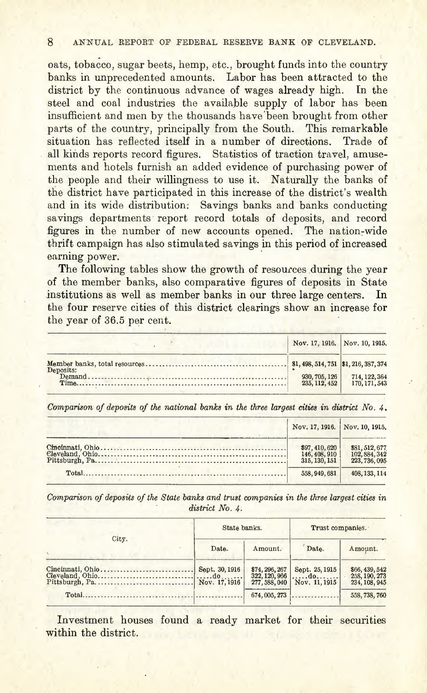oats, tobacco, sugar beets, hemp, etc., brought funds into the country banks in unprecedented amounts. Labor has been attracted to the district by the continuous advance of wages already high. In the steel and coal industries the available supply of labor has been insufficient and men by the thousands have been brought from other parts of the country, principally from the South, This remarkable situation has reflected itself in a number of directions. Trade of all kinds reports record figures, Statistics of traction travel, amusements and hotels furnish an added evidence of purchasing power of the people and their willingness to use it. Naturally the banks of the district have participated in this increase of the district's wealth and in its wide distribution: Savings banks and banks conducting savings departments' report record totals of deposits, and record figures in the number of new accounts opened. The nation-wide thrift campaign has also stimulated savings in this period of increased earning power.

The following tables show the growth of resources during the year of the member banks, also comparative figures of deposits in State institutions as well as member banks in our three large centers. In the four reserve cities of this district clearings show an increase for the year of 36,5 per cent,

|           | Nov. 17, 1916. Nov. 10, 1915.  |                                |  |
|-----------|--------------------------------|--------------------------------|--|
| Deposits: |                                |                                |  |
|           | 930, 705, 126<br>235, 112, 452 | 714, 122, 364<br>170, 171, 543 |  |

*Comparison of deposits of the national banks in the three largest cities in district No.4.*

| Nov. 17, 1916. Nov. 10, 1915.                     |                                                           |
|---------------------------------------------------|-----------------------------------------------------------|
| $$97, 410, 620$<br>146, 408, 910<br>315, 130, 151 | <b>\$81, 512, 677<br/>102, 884, 342<br/>223, 736, 095</b> |
| 558, 949, 681                                     | 408.133.114                                               |

*Comparison of deposits of the State banks and trust companies in the three largest cities in . district No.4.*

|       | State banks.   |         | Trust companies.                                                                                                                                           |                                                  |
|-------|----------------|---------|------------------------------------------------------------------------------------------------------------------------------------------------------------|--------------------------------------------------|
| City. | Date.          | Amount. | Date.                                                                                                                                                      | Amount.                                          |
|       | Sept. 30, 1916 |         | $\left[\begin{array}{c c} 374, 296, 267 & \text{Sept. } 25, 1915 \\ 322, 120, 966 & \dots & \text{doc.} \end{array}\right]$<br>277, 588, 040 Nov. 11, 1915 | \$66, 439, 542<br>258, 190, 273<br>234, 108, 945 |
|       |                |         | $674,005,273$                                                                                                                                              | 558, 738, 760                                    |

Investment houses found a ready market for their securities within the district.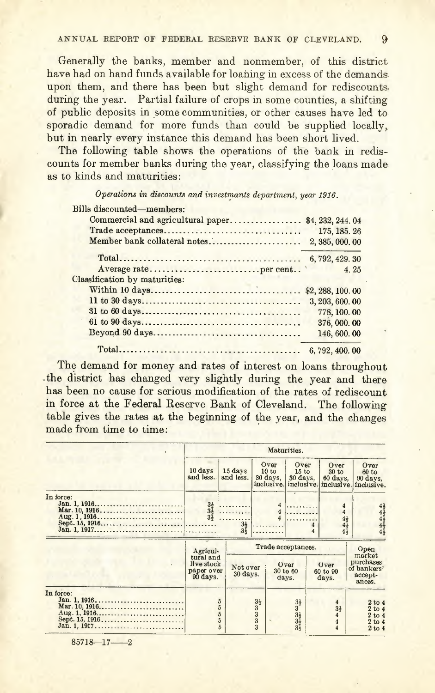Generally the banks, member and nonmember, of this district have had on hand funds available for loaning in excess of the demands. upon them, and there has been but slight demand for rediscounts. during the year. Partial failure of crops in some counties, a shifting of public deposits in some communities, or other causes have led to. sporadic demand for more funds than could be supplied locally. but in nearly every instance this demand has been short lived.

The following table shows the operations of the bank in rediscounts for member banks during the year, classifying the loans made as to kinds and maturities:

*Operations in discounts and investmants department, year* 1916.

| Bills discounted-members:         |                   |
|-----------------------------------|-------------------|
| Commercial and agricultural paper | \$4, 232, 244, 04 |
|                                   | 175, 185, 26      |
| Member bank collateral notes      | 2, 385, 000, 00   |
|                                   | 6, 792, 429. 30   |
|                                   | 4.25              |
| Classification by maturities:     |                   |
|                                   | \$2, 288, 100.00  |
|                                   | 3, 203, 600, 00   |
|                                   | 778, 100.00       |
|                                   | 376,000.00        |
|                                   | 146, 600, 00      |
|                                   | 6,792,400.00      |

The demand for money and rates of interest on loans throughout .the district has changed very slightly during the year and there has been no cause for serious modification of the rates of rediscount in force at the Federal Reserve Bank of Cleveland. The following table gives the rates at the beginning of the year, and the changes made from time to time: .

|           | Maturities.                                                   |                                                                    |                                                                            |                                         |                                         |            |                                                         |                                                                 |
|-----------|---------------------------------------------------------------|--------------------------------------------------------------------|----------------------------------------------------------------------------|-----------------------------------------|-----------------------------------------|------------|---------------------------------------------------------|-----------------------------------------------------------------|
|           | $10 \text{ days}$<br>and less.                                | 15 days<br>and less.                                               |                                                                            | Over<br>10 to<br>30 days,<br>inclusive. | Over<br>15 to<br>30 days.<br>inclusive. |            | Over<br>30 <sub>to</sub><br>60 days.<br>inclusive.      | Over<br>$60 \text{ to}$<br>90 days,<br>inclusive.               |
| In force: | $3\frac{1}{2}$<br>$3\frac{1}{2}$<br>$3\frac{1}{2}$            | .<br>.<br>$3\frac{1}{2}$<br>$3\frac{1}{2}$                         |                                                                            | 4<br>4<br>.                             | .                                       | $\ddot{4}$ | 4                                                       | 4444<br>$\frac{4\frac{1}{2}}{4\frac{1}{2}}$<br>$4\bar{4}$       |
|           | Agricul-<br>tural and<br>live stock<br>paper over<br>90 days. | Not over<br>30 days.                                               |                                                                            | days.                                   | Trade acceptances.<br>Over<br>30 to 60  |            | Over<br>60 to 90<br>days.                               | Open<br>market<br>purchases<br>of bankers'<br>accept-<br>ances. |
| In force: |                                                               | $\overline{5}$<br>$\frac{5}{5}$<br>$\overline{5}$<br>$\frac{1}{2}$ | $\begin{smallmatrix} 3\frac{1}{2} \\ 3 \ 3 \\ 3 \\ 3 \\ \end{smallmatrix}$ |                                         | $3333$<br>$333$                         |            | $\overline{4}$<br>3 <sub>2</sub><br>$\overline{\bf{4}}$ | 2 to 4<br>2 to 4<br>2 to 4<br>2 to 4<br>2 to 4                  |

 $85718 - 17 - 2$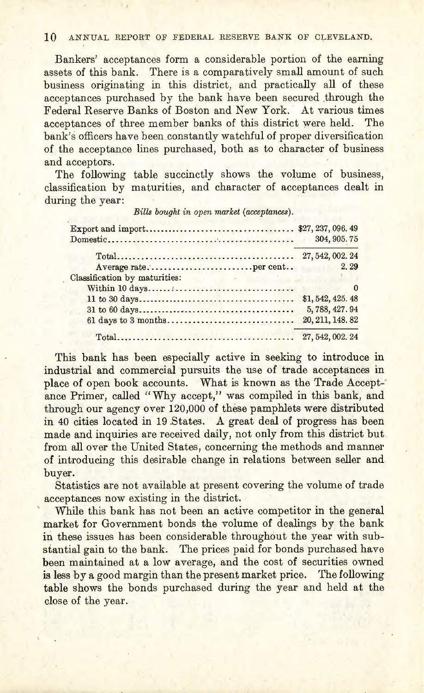Bankers' acceptances form a considerable portion of the earning assets of this bank. There is a comparatively small amount of such business originating in this district, and practically all of these acceptances purchased by the bank have been secured through the Federal Reserve Banks of Boston and New York.' At various times acceptances of three member banks of this district were held. The bank's officers have been constantly watchful of proper diversification of the acceptance lines purchased, both as to character of business and acceptors.

The following table succinctly shows the volume of business, classification by maturities, and character of acceptances dealt in during the year:

|                                                                                               | 304, 905.75                       |
|-----------------------------------------------------------------------------------------------|-----------------------------------|
|                                                                                               | 27, 542, 002, 24                  |
|                                                                                               | 2.29<br><b>Contract Executive</b> |
| Classification by maturities:<br>the control of the control of the                            |                                   |
|                                                                                               |                                   |
|                                                                                               | \$1,542,425.48                    |
|                                                                                               | 5,788,427.94                      |
| $61 \text{ days}$ to $3 \text{ months} \dots \dots \dots \dots \dots \dots \dots \dots \dots$ | 20, 211, 148.82                   |
| $Total \dots \dots \dots \dots \dots \dots \dots \dots \dots \dots \dots \dots \dots \dots$   | 27, 542, 002, 24                  |

*Bills bought in open market (acceptances).*

This bank has been especially active in seeking to introduce in industrial and commercial pursuits the use of trade acceptances in place of open book accounts. What is known as the Trade Accept-' ance Primer, called "Why accept," was compiled in this bank, and through our agency over 120,000 of these pamphlets were distributed in 40 cities located in 19.5tates. A great deal of progress has been made and inquiries are received daily, not only from this district but from all over the United States, concerning the methods and manner of introducing this desirable change in relations between seller and, buyer.

Statistics are not available at present covering the volume of trade acceptances now existing in the district.

While this bank has not been an active competitor in the general market for Government bonds the volume of dealings by the bank in these issues has been considerable throughout the year with substantial gain to the bank. The prices paid for bonds purchased have been maintained at a low average, and the cost of securities owned is less by a good margin than the present market price. The following table shows the bonds purchased during the year and held at the close of the year.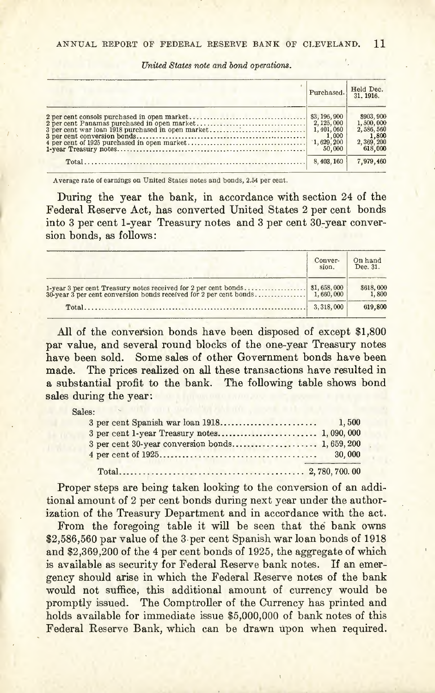*United States note and bond operations.*

| Purchased. | Held Dec.<br>31, 1916.                                                      |
|------------|-----------------------------------------------------------------------------|
|            | \$903,900<br>1,500,000<br>2,586,560<br>$\frac{1,800}{2,369,200}$<br>618,000 |
| 8,403,160  | 7.979.460                                                                   |

Average rate of earnings on United States notes and bonds, 2.54 per cent.

During the year the bank, in accordance with section 24 of the Federal Reserve Act, has converted United States 2 per cent bonds into 3 per cent 1-year Treasury notes and 3 per cent 30-year conversion bonds, as follows:

| Conver-<br>sion. | On hand<br>Dec. 31. |
|------------------|---------------------|
|                  | \$618,000<br>1,800  |
| 3.318,000        | 619,800             |

**All** of the conversion bonds have been disposed of except \$1,800 par value, and several round blocks of the one-year Treasury notes have been sold. Some sales of other Government bonds have been made. The prices realized on all these transactions have resulted in a substantial profit to the bank. The following table shows bond sales during the year:

Sales:

Proper steps are being taken looking to the conversion of an additional amount of 2 per cent bonds during next year under the authorization of the Treasury Department and in accordance with the act.

From the foregoing table it will be seen that the bank owns \$2,586,560 par value of the 3 per cent Spanish war loan bonds of 1918 and \$2,369,200 of the 4 per cent bonds of 1925, the aggregate of which is available as security for Federal Reserve bank notes. If an emergency should arise in which the Federal Reserve notes of the bank would not suffice, this additional amount of currency would be promptly issued. The Comptroller of the Currency has printed and holds available for immediate issue \$5,000,000 of bank notes of this Federal Reserve Bank, which can be drawn upon when required.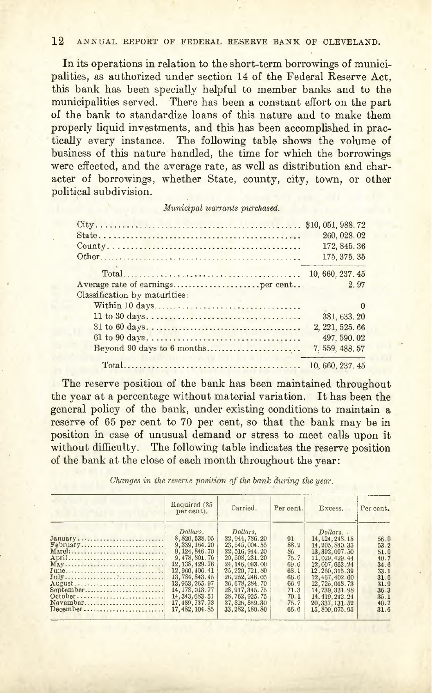**In** its operations in relation to the short-term borrowings of municipalities, as authorized under section 14 of the Federal Reserve Act, this bank has been specially helpful to member banks and to the municipalities served. There has been a constant effort on the part of the bank to standardize loans of this nature and to make them properly liquid investments, and this has been accomplished in practically every instance. The following table shows the volume of business of this nature handled, the time for which the borrowings were effected, and the average rate, as well as distribution and character of borrowings, whether State, county, city, town, or other political subdivision.

*Municipal warrants purchased.*

|                                 | 260, 028, 02     |
|---------------------------------|------------------|
|                                 | 172, 845, 36     |
|                                 | 175, 375, 35     |
|                                 | 10, 660, 237.45  |
|                                 | 2.97             |
| Classification by maturities:   |                  |
|                                 | $\Omega$         |
|                                 | 381, 633.20      |
|                                 | 2, 221, 525, 66  |
|                                 | 497, 590.02      |
| Beyond 90 days to 6 months      | 7, 559, 488, 57  |
| model in 1973 and will have all | 10, 660, 237, 45 |

The reserve position of the bank has been maintained throughout the year at a percentage without material variation. It has been the general policy of the bank, under existing conditions to maintain a reserve of 65 per cent to 70 per cent, so that the bank may be in position in case of unusual demand or stress to meet calls upon it without difficulty. The following table indicates the reserve position of the bank at the close of each month throughout the year:

*Changes in the reserve position of the bank during the year.*

|                                                                                                            | Required (35)<br>per cent).                                                                                                                                                                                                   | Carried.                                                                                                                                                                                                                          | Per cent.                                                                        | Excess.                                                                                                                                                                                                                         | Per cent.                                                                            |
|------------------------------------------------------------------------------------------------------------|-------------------------------------------------------------------------------------------------------------------------------------------------------------------------------------------------------------------------------|-----------------------------------------------------------------------------------------------------------------------------------------------------------------------------------------------------------------------------------|----------------------------------------------------------------------------------|---------------------------------------------------------------------------------------------------------------------------------------------------------------------------------------------------------------------------------|--------------------------------------------------------------------------------------|
| January<br>February<br>March<br>April<br>May<br>June<br>July<br>August<br>September<br>October<br>November | Dollars.<br>8, 820, 538, 05<br>9, 339, 164, 20<br>9, 124, 846. 70<br>9, 478, 801, 76<br>12, 138, 429. 76<br>12,960,406.41<br>13, 784, 843, 45<br>13, 953, 265. 97<br>14, 178, 013, 77<br>14, 343, 683. 51<br>17, 489, 737. 78 | Dollars.<br>22, 944, 786. 20<br>23, 545, 004. 55<br>22, 516, 944. 20<br>20, 508, 231. 20<br>24, 146, 093. 00<br>25, 220, 721.80<br>26, 252, 246.05<br>26, 678, 284. 70<br>28, 917, 345. 75<br>28, 762, 925. 75<br>37, 826, 869.30 | 91<br>88.2<br>86<br>75.7<br>69.6<br>68.1<br>66.6<br>66.9<br>71.3<br>70.1<br>75.7 | Dollars.<br>14, 124, 248, 15<br>14, 205, 840, 35<br>13, 392, 097.50<br>11, 029, 429, 44<br>12,007,663.24<br>12, 260, 315, 39<br>12, 467, 402. 60<br>12, 725, 018, 73<br>14, 739, 331.98<br>14, 419, 242, 24<br>20, 337, 131, 52 | 56.0<br>53.2<br>51.0<br>40.7<br>34.6<br>33.1<br>31.6<br>31.9<br>36.3<br>35.1<br>40.7 |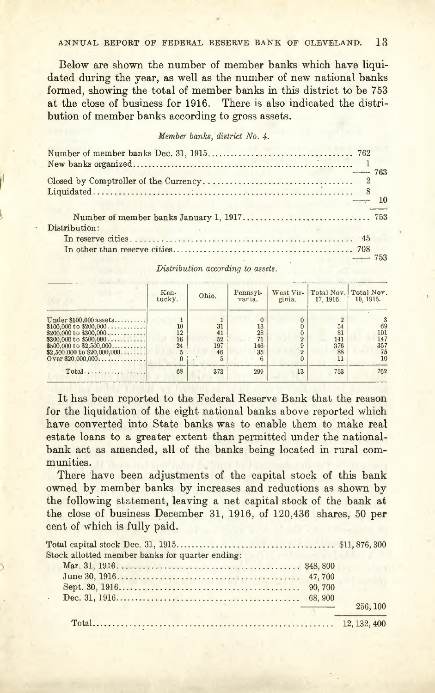Below are shown the number of member banks which have liquidated during the year, as well as the number of new national banks formed, showing the total of member banks in this district to be 753 at the close of business for 1916. There is also indicated the distribution of member banks according to gross assets.

#### *Member banks, district No.4.*

| $-$ 763              |  |
|----------------------|--|
| $\longrightarrow$ 10 |  |
| Distribution:        |  |
|                      |  |
| $-753$               |  |

*Distribution according to assets.*

|                                                                                                                                                                                         | Ken-<br>tucky.            | Ohio.                       | Pennsyl-<br>vania.          | West Vir-<br>ginia.                   | Total Nov.<br>17, 1916.            | Total Nov.<br>10, 1915.             |
|-----------------------------------------------------------------------------------------------------------------------------------------------------------------------------------------|---------------------------|-----------------------------|-----------------------------|---------------------------------------|------------------------------------|-------------------------------------|
| Under $$100,000$ assets<br>\$100,000 to \$200,000<br>\$200,000 to \$300,000<br>$$300,000$ to $$500,000$<br>\$500,000 to \$2,500,000<br>\$2,500,000 to \$20,000,000<br>Over \$20,000,000 | 10<br>12<br>16<br>24<br>5 | 31<br>41<br>52<br>197<br>46 | 13<br>28<br>71<br>146<br>35 | 0<br>$\overline{2}$<br>$\overline{2}$ | 54<br>81<br>141<br>376<br>88<br>11 | 69<br>101<br>147<br>357<br>75<br>10 |
| Total                                                                                                                                                                                   | 68                        | 373                         | 299                         | 13                                    | 753                                | 762                                 |

It has been reported to the Federal Reserve Bank that the reason for the liquidation of the eight national banks above reported which have converted into State banks was to enable them to make real estate loans to a greater extent than permitted under the nationalbank act as amended, all of the banks being located in rural communities.

There have been adjustments of the capital stock of this bank owned by member banks by increases and reductions as shown by the following statement, leaving a net capital stock of the bank at the close of business December 31, 1916, of 120,436 shares, 50 per cent of which is fully paid.

| Stock allotted member banks for quarter ending: |          |
|-------------------------------------------------|----------|
|                                                 |          |
|                                                 |          |
|                                                 |          |
|                                                 |          |
|                                                 | 256, 100 |
|                                                 |          |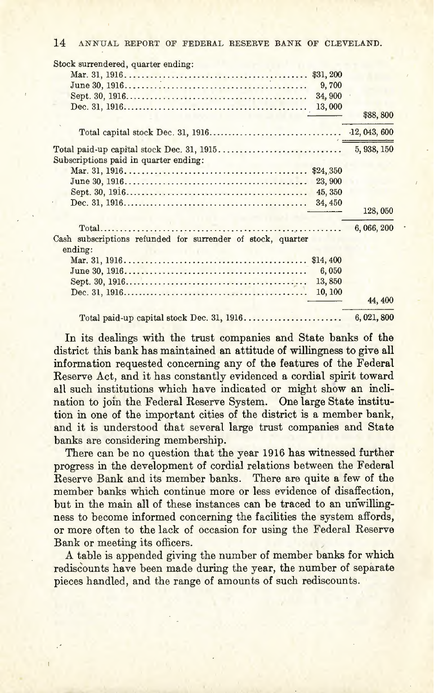| Stock surrendered, quarter ending:                                     |             |
|------------------------------------------------------------------------|-------------|
| \$31,200                                                               |             |
| 9,700                                                                  |             |
| 34,900                                                                 |             |
| 13,000                                                                 |             |
|                                                                        | \$88,800    |
|                                                                        |             |
|                                                                        | 5, 938, 150 |
| Subscriptions paid in quarter ending:                                  |             |
| \$24,350                                                               |             |
| 23,900                                                                 |             |
| 45, 350                                                                |             |
| 34, 450                                                                |             |
|                                                                        | 128,050     |
|                                                                        | 6,066,200   |
| Cash subscriptions refunded for surrender of stock, quarter<br>ending: |             |
| \$14,400                                                               |             |
| 6,050                                                                  |             |
| 13,850                                                                 |             |
| 10, 100                                                                |             |
|                                                                        | 44, 400     |
| Total paid-up capital stock Dec. 31, 1916                              | 6,021,800   |

In its dealings with the trust companies and State banks of the district this bank has maintained an attitude of willingness to give all information requested concerning any of the features of the Federal Reserve Act, and it has constantly evidenced a cordial spirit toward all such institutions which have indicated or might show an inclination to join the Federal Reserve System. One large State institution in one of the important cities of the district is a member bank, and it is understood that several large trust companies and State banks are considering membership.

There can be no question that the year 1916 has witnessed further progress in the development of cordial relations between the Federal Reserve Bank and its member banks. There are quite a few of the member banks which continue more or less evidence of disaffection, but in the main all of these instances can be traced to an unwillingness to become informed concerning the facilities the system affords, or more often to the lack of occasion for using the Federal Reserve Bank or meeting its officers. ,

A table is appended giving the number of member banks for which rediscounts have been made during the year, the number of separate pieces handled, and the range of amounts of such rediscounts.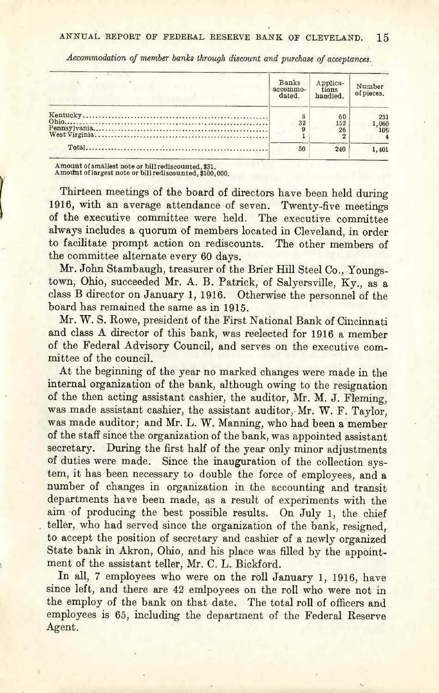| <b>Banks</b><br>accommo-<br>dated. | Applica-<br>tions<br>handled. | Number<br>of pieces. |
|------------------------------------|-------------------------------|----------------------|
| 32                                 | 60<br>152<br>26               | 231<br>1,060<br>106  |
| 50                                 | 240                           | 1,401                |

*Accommodation of member banks through discount and purchase of acceptances..*

Amount of smallest note or bill rediscounted, \$31.<br>Amount of largest note or bill rediscounted, \$100,000

 $\overline{ }$ 

Thirteen meetings of the board of directors have been held during 1916, with an average attendance of seven. Twenty-five meetings of the executive committee were held. The executive committee always includes a quorum of members located in Cleveland, in order to facilitate prompt action on rediscounts. The other members of the committee alternate every 60 days.

Mr. John Stambaugh, treasurer of the Brier Hill Steel Co., Youngstown, Ohio, succeeded Mr. A. B. Patrick, of Salyersville, Ky., as a class B director on January 1, 1916. Otherwise the personnel of the board has remained the same as in 1915.

Mr. W. S. Rowe, president of the First National Bank of Cincinnati and class A director of this bank, was reelected for 1916 a member of the Federal Advisory Council, and serves on the executive committee of the council.

At the beginning of the year no marked changes were made in the internal organization of the bank, although owing to the resignation of the then acting assistant cashier, the auditor, Mr. M. J. Fleming, was made assistant cashier, the assistant auditor, Mr. W. F. Taylor, was made auditor; and Mr. L. W. Manning, who had been a member of the staff since the organization of the bank, was appointed assistant secretary. During the first half of the year only minor adjustments of duties were made. Since the inauguration of the collection system, it has been necessary to double the force of employees, and a number of changes in organization in the accounting and transit departments have been made, as a result of experiments with the aim of producing the best possible results. On July 1, the chief teller, who had served since the organization of the bank, resigned, to accept the position of secretary and cashier of a newly organized State bank in Akron, Ohio, and his place was filled by the appointment of the assistant teller, Mr. C. L. Bickford.

In all, 7 employees who were on the roll January 1, 1916, have since left, and there are 42 emlpoyees on the roll who were not in the employ of the bank on that date. The total roll of officers and employees is 65, including the department of the Federal Reserve Agent.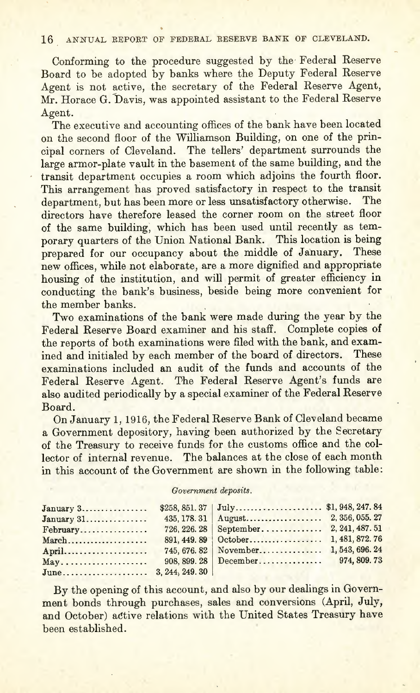Conforming to the procedure suggested by the' Federal Reserve Board to be adopted by banks where the Deputy Federal Reserve Agent is not active, the secretary of the Federal Reserve Agent, Mr. Horace G. Davis, was appointed assistant to the Federal Reserve Agent,

The executive and accounting offices of the bank have been located on the second floor of the Williamson Building, on one of the principal corners of Cleveland. The tellers' department surrounds the large armor-plate vault in the basement of the same building, and the transit department occupies a room which adjoins the fourth floor. This arrangement has proved satisfactory in respect to the transit department, but has been more or less unsatisfactory otherwise. The directors have therefore leased the corner room on the street floor of the same building; which has been used until recently as temporary quarters of the Union National Bank. This location is being prepared for our occupancy about the middle of January. These new offices, while not elaborate, are a more dignified and appropriate housing of the institution, and will permit of greater efficiency in conducting the bank's business, beside being more convenient for the member banks.

Two examinations of the bank were made during the year by the Federal Reserve Board examiner and his staff. Complete copies of the reports of both examinations were filed with the bank, and examined and initialed by each member of the board of directors. These examinations included an audit of the funds and accounts of the Federal Reserve Agent. The Federal Reserve Agent's funds are also audited periodically by a special examiner of the Federal Reserve Board.

On January 1, 1916, the Federal Reserve Bank of Cleveland became a Government depository, having been authorized by the Secretary of the Treasury to receive funds for the customs office and the collector of internal revenue. The balances at the close of each month in this account of the Government are shown in the following table:

#### *Government deposits.*

| January 3    |              |                       |              |
|--------------|--------------|-----------------------|--------------|
| $January 31$ | 435, 178, 31 |                       |              |
| February     |              |                       |              |
| March        |              |                       |              |
| April        |              |                       |              |
| May          |              | $908.899.28$ December | 974, 809, 73 |
|              |              |                       |              |

By the opening of this account, and also by our dealings in Government bonds through purchases, sales and conversions (April, July, and October) active relations with the United States Treasury have been established.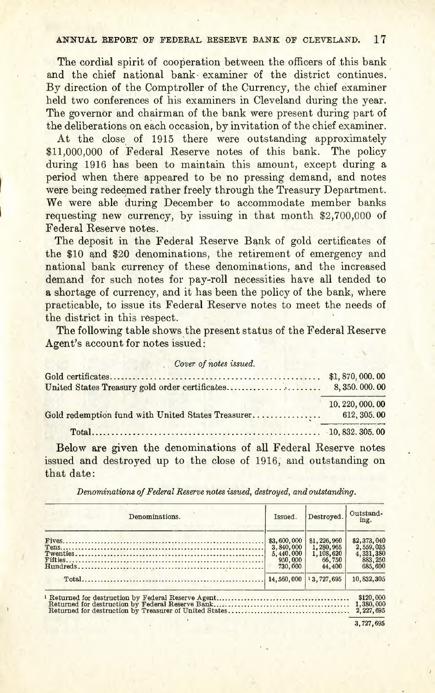The cordial spirit of cooperation between the officers of this bank and the chief national bank examiner of the district continues. By direction of the Comptroller of the Currency, the chief examiner held two conferences of his examiners in Cleveland during the year. The governor and chairman of the bank were present during part of the deliberations on each occasion, by invitation of the chief examiner.

At the close of 1915 there were outstanding approximately \$11,000,000 of Federal Reserve notes of this bank. The policy during 1916 has been to maintain this amount, except during a period when there appeared to be no pressing demand, and notes were being redeemed rather freely through the Treasury Department. We were able during December to accommodate member banks requesting new currency, by issuing in that month \$2,700,000 of Federal Reserve notes.

The deposit in the Federal Reserve Bank of gold certificates of the \$10 and \$20 denominations, the retirement of emergency and national bank currency of these denominations, and the increased demand for such notes for pay-roll necessities have all tended to a shortage of currency, and it has been the policy of the bank, where practicable, to issue its Federal Reserve notes to meet the needs of the district in this respect.

The following table shows the present status of the Federal Reserve Agent's account for notes issued:

| Cover of notes issued.                            |                  |
|---------------------------------------------------|------------------|
|                                                   |                  |
| United States Treasury gold order certificates    | 8,350,000,00     |
|                                                   | 10, 220, 000, 00 |
| Gold redemption fund with United States Treasurer | 612, 305, 00     |
|                                                   |                  |
|                                                   |                  |

Below are given the denominations of all Federal Reserve notes issued and destroyed up to the close of 1916, and outstanding on that date:

*Denominations of Federal Reserve notes issued, destroyed, and outstanding.*

| Denominations. | Issued.                                                     | Destroved.                                                | Outstand-<br>ing.                                            |
|----------------|-------------------------------------------------------------|-----------------------------------------------------------|--------------------------------------------------------------|
|                | \$3,600,000<br>3.840,000<br>5.440.000<br>950,000<br>730,000 | \$1,226,960<br>1,280,965<br>1,108,620<br>66,750<br>44.400 | \$2,373,040<br>2,559,035<br>4,331,380<br>883, 250<br>685,600 |
|                | 14,560,000                                                  | 13.727.695                                                | 10,832,305                                                   |
|                |                                                             |                                                           | \$120,000<br>1,380,000<br>2.227.695                          |

3,727,695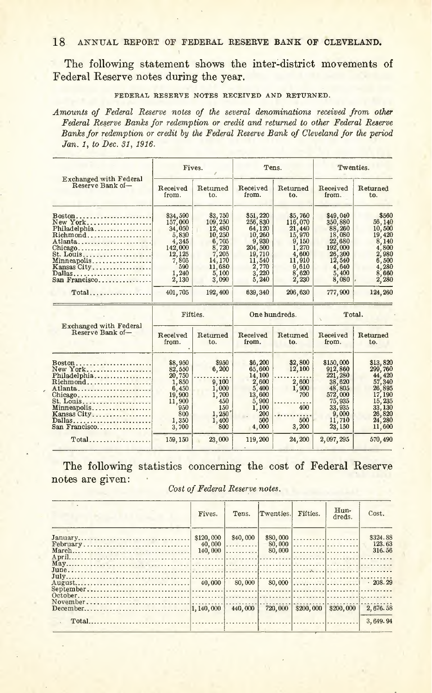The following statement shows the inter-district movements of Federal Reserve notes during the year.

#### FEDERAL RESERVE NOTES RECEIVED AND RETURNED.

*Amounts of Federal Reserve notes of the several denominations received from other Federal Reserve Banks for redemption or credit and returned to other Federal Reserve Banks for redemption or credit by the Federal Reserve Bank of Cleveland for the period Jan.* 1, *to Dec.* 31,1916.

|                                                                                                                                              | Fives.                                                                                                 |                                                                                                          |                                                                                                            | Tens.                                                                                                  | Twenties.                                                                                                       |                                                                                                               |
|----------------------------------------------------------------------------------------------------------------------------------------------|--------------------------------------------------------------------------------------------------------|----------------------------------------------------------------------------------------------------------|------------------------------------------------------------------------------------------------------------|--------------------------------------------------------------------------------------------------------|-----------------------------------------------------------------------------------------------------------------|---------------------------------------------------------------------------------------------------------------|
| Exchanged with Federal<br>Reserve Bank of-                                                                                                   | Received<br>from.                                                                                      | Returned<br>t.o.                                                                                         | Received<br>from.                                                                                          | Returned<br>to.                                                                                        | Received<br>from.                                                                                               | Returned<br>to.                                                                                               |
| Boston<br>New York<br>Philadelphia<br>Richmond<br>Atlanta<br>Chicago<br>St. Louis<br>Minneapolis<br>Kansas City<br>Dallas<br>San Francisco   | \$34,590<br>157,000<br>34,050<br>5,830<br>4,345<br>142,000<br>12,125<br>7,805<br>590<br>1,240<br>2,130 | \$3,750<br>109, 250<br>12,480<br>10,250<br>6,705<br>8,720<br>7,205<br>14,170<br>11,680<br>5,100<br>3,090 | \$51,220<br>256,830<br>64,120<br>10,260<br>9,930<br>204,500<br>19,710<br>11,540<br>2,770<br>3,220<br>5,240 | \$5,760<br>116,070<br>21,440<br>15,970<br>9,150<br>1,270<br>4.600<br>11,910<br>9,610<br>8,620<br>2,230 | \$49,040<br>350,880<br>88,260<br>18,080<br>22,680<br>192,000<br>26,300<br>12,540<br>4,640<br>5.400<br>8,080     | \$560<br>56,140<br>10,500<br>19,420<br>8,140<br>4,800<br>2,980<br>6,500<br>4,280<br>8,660<br>2,280            |
| $Total$                                                                                                                                      | 401,705                                                                                                | 192,400                                                                                                  | 639, 340                                                                                                   | 206,630                                                                                                | 777,900                                                                                                         | 124,260                                                                                                       |
|                                                                                                                                              | Fifties.                                                                                               |                                                                                                          | One hundreds.                                                                                              |                                                                                                        | Total.                                                                                                          |                                                                                                               |
| Exchanged with Federal<br>Reserve Bank of-                                                                                                   | Received<br>from.                                                                                      | Returned<br>to.                                                                                          | Received<br>from.                                                                                          | Returned<br>to.                                                                                        | Received<br>from.                                                                                               | Returned<br>to.                                                                                               |
| $Boston$<br>New York<br>Philadelphia<br>Richmond<br>Atlanta<br>Chicago<br>St. Louis<br>Minneapolis<br>Kansas City<br>Dallas<br>San Francisco | \$8,950<br>82,550<br>20,750<br>1,850<br>6,450<br>19,900<br>11,900<br>950<br>800<br>1.350<br>3,700      | 8950<br>6,200<br>9,100<br>1,000<br>1,700<br>450<br>150<br>1,250<br>1,400<br>800                          | \$6,200<br>65,600<br>14,100<br>2,600<br>5.400<br>13,600<br>5,900<br>1,100<br>200<br>500<br>4,000           | \$2,800<br>12,100<br>2,600<br>1,900<br>700<br>400<br>500<br>3,200                                      | \$150,000<br>912,860<br>221,280<br>38,620<br>48,805<br>572,000<br>75,935<br>33,935<br>9,000<br>11,710<br>23,150 | \$13,820<br>299,760<br>44,420<br>57,340<br>26,895<br>17,190<br>15,235<br>33,130<br>26,820<br>24,280<br>11,600 |
| $Total$                                                                                                                                      | 159, 150                                                                                               | 23,000                                                                                                   | 119,200                                                                                                    | 24,200                                                                                                 | 2,097,295                                                                                                       | 570,490                                                                                                       |
|                                                                                                                                              |                                                                                                        |                                                                                                          |                                                                                                            |                                                                                                        |                                                                                                                 |                                                                                                               |

The following statistics concerning the cost of Federal Reserve notes are given:

*Cost of Federal Reserve notes.*

| Fives.    | Tens.                | Twenties. | Fifties.  | H <sub>u</sub> n-<br>dreds. | Cost.                        |
|-----------|----------------------|-----------|-----------|-----------------------------|------------------------------|
| \$120,000 | \$40,000<br>$40,000$ |           |           |                             | \$324.88<br>123.63<br>316.56 |
|           |                      |           |           |                             |                              |
|           |                      |           |           |                             |                              |
|           | 440,000              | 720,000   | \$200,000 | \$200,000                   | 2.676.58                     |
|           |                      |           |           |                             | 3.649.94                     |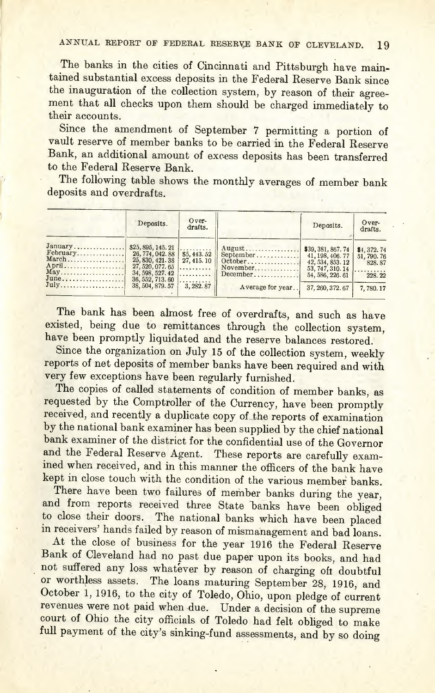The banks in the cities of Cincinnati and Pittsburgh have maintained substantial excess deposits in the Federal Reserve Bank since the inauguration of the collection system, by reason of their agreement that all checks upon them should be charged immediately to their accounts.

Since the amendment of September 7 permitting a portion of vault reserve of member banks to be carried in the Federal Reserve Bank, an additional amount of excess deposits has been transferred to the Federal Reserve Bank.

The following table shows the monthly averages of member bank deposits and overdrafts.

|                                                                | Deposits.                                                                                                                              | Over-<br>drafts.                                |                                                                                       | Deposits.                                                                                                              | Over-<br>drafts.                                               |
|----------------------------------------------------------------|----------------------------------------------------------------------------------------------------------------------------------------|-------------------------------------------------|---------------------------------------------------------------------------------------|------------------------------------------------------------------------------------------------------------------------|----------------------------------------------------------------|
| January<br>$February$<br>March<br>April<br>May<br>June<br>July | \$25, 895, 145. 21<br>26, 774, 042, 88<br>25,830,421,38<br>27,520,077.65<br>$34, 598, 527.42$<br>$36, 552, 713.60$<br>38, 504, 879, 57 | .<br>\$5,443.52<br>27,415.10<br>.<br>3, 282, 87 | $August$<br>$September \ldots$<br>October<br>November<br>December<br>Average for year | \$39, 381, 867. 74<br>41, 198, 406, 77<br>42, 534, 853, 12<br>53, 747, 310, 14<br>54, 586, 226, 61<br>37, 260, 372, 67 | \$4,372.74<br>51, 790. 76<br>828.87<br>.<br>228.22<br>7,780.17 |

The bank has been almost free of overdrafts, and such as have existed, being due to remittances through the collection system, have been promptly liquidated and the reserve balances restored.

Since the organization on July 15 of the collection system, weekly reports of net deposits of member banks have been required and with very few exceptions have been regularly furnished.

The copies of called statements of condition of member banks, as requested by the Comptroller of the Currency, have been promptly received, and recently a duplicate copy of the reports of examination by the national bank examiner has been supplied by the chief national bank examiner of the district for the confidential use of the Governor and the Federal Reserve Agent. These reports are carefully examined when received, and in this manner the officers of the bank have kept in close touch with the condition of the various member banks.

There have been two failures of member banks during the year, and from reports received three State banks have been obliged to close their doors. The national banks which have been placed in receivers' hands failed by reason of mismanagement and bad loans.

At the close of business for the year 1916 the Federal Reserve Bank of Cleveland had no past due paper upon its books, and had not suffered any loss whatever by reason of charging oft doubtful or worthless assets, The loans maturing September 28, 1916, and October 1, 1916, to the city of Toledo, Ohio, upon pledge of current revenues were not paid when due. Under a decision of the supreme court of Ohio the city officials of Toledo had felt obliged to make full payment of the city's sinking-fund assessments, and by so doing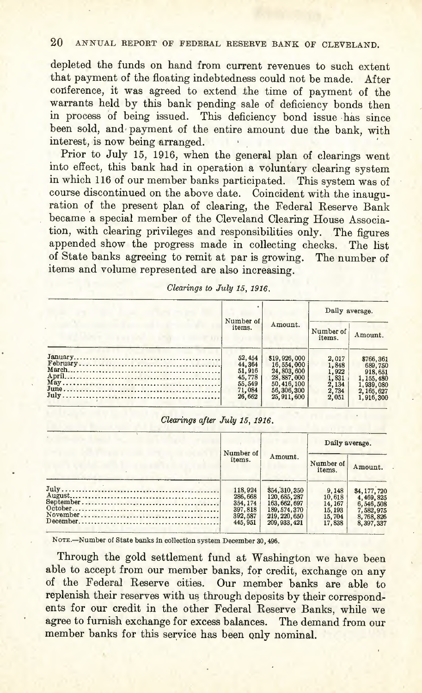depleted the funds on hand from current revenues to such extent that payment of the floating indebtedness could not be made. After conference, it was agreed to extend the time of payment of the warrants held by this bank pending sale of deficiency bonds then in process of being issued. This deficiency bond issue ·has since been sold, and payment of the entire amount due the bank, with interest, is now being arranged. '

Prior to July 15, 1916, when the general plan of clearings went into effect, this bank had in operation a voluntary clearing system in which 116 of our member banks participated. This system was of course discontinued on the above date. Coincident with the inauguration of the present plan of clearing, the Federal Reserve Bank became a special member of the Cleveland Clearing House Association, with clearing privileges and responsibilities only. The figures appended show the progress made in collecting checks. The list of State banks agreeing to remit at par is growing. The number of items and volume represented are also increasing.

|  | Clearings to July 15, 1916. |  |  |  |  |
|--|-----------------------------|--|--|--|--|
|--|-----------------------------|--|--|--|--|

|                                                                     |                                                                                                        | Daily average.                                              |                                                                                         |
|---------------------------------------------------------------------|--------------------------------------------------------------------------------------------------------|-------------------------------------------------------------|-----------------------------------------------------------------------------------------|
| Number of<br>items.                                                 | Amount.                                                                                                | Number of<br>items.                                         | Amount.                                                                                 |
| 52, 454<br>44,364<br>51,916<br>45,778<br>55.549<br>71,084<br>26.662 | \$19,926,000<br>16, 554, 000<br>24,803,600<br>28,887,000<br>50,416,100<br>56, 306, 300<br>25, 911, 600 | 2.017<br>1,848<br>1,922<br>1,831<br>2,134<br>2,734<br>2,051 | \$766,361<br>689,750<br>918,651<br>1, 155, 480<br>1,939,080<br>2, 165, 627<br>1,916,300 |

#### *Clearing8 after July* 15, 1916.

|  | Number of<br>items.                                              |                                                                                                   | Daily average.                                            |                                                                              |  |
|--|------------------------------------------------------------------|---------------------------------------------------------------------------------------------------|-----------------------------------------------------------|------------------------------------------------------------------------------|--|
|  |                                                                  | Amount.                                                                                           | Number of<br>items.                                       | Amount.                                                                      |  |
|  | 118,924<br>286,668<br>354, 174<br>397,818<br>392, 587<br>445.951 | \$54,310,350<br>120, 685, 287<br>163, 662, 697<br>189, 574, 370<br>219, 220, 650<br>209, 933, 421 | 9,148<br>10.618<br>14, 167<br>15, 193<br>15,704<br>17,838 | \$4,177,720<br>4,469,825<br>6,546,508<br>7,582,975<br>8,768,826<br>8,397,337 |  |

NOTE.-Number of State banks in collection system December 30, 496.

Through the gold settlement fund at Washington we have been able to accept from our member banks, for credit, exchange on any of the Federal Reserve cities. Our member banks are able to replenish their reserves with us through deposits by their correspondents for our credit in the other Federal Reserve Banks, while we agree to furnish exchange for excess balances. The demand from our member banks for this service has been only nominal.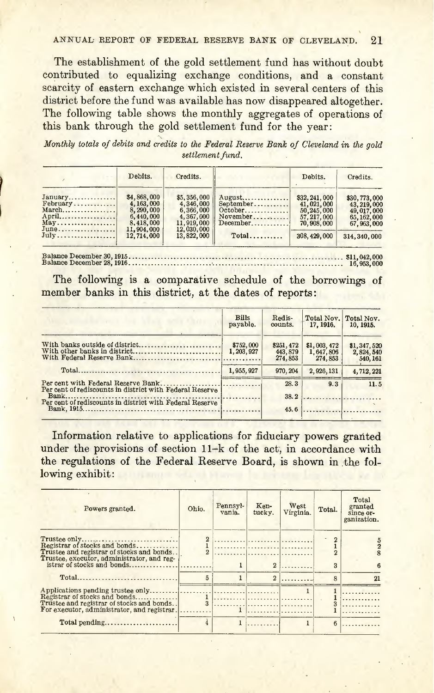The establishment of the gold settlement fund has without doubt contributed to equalizing exchange conditions, and a constant scarcity of eastern exchange which existed in several centers of this district before the fund was available has now disappeared altogether. The following table shows the monthly aggregates of operations of this bank through the gold settlement fund for the year:

~ . *Monthly totals of debits and credits to the Federal Reserve Bank of Cleveland in the gold settlement fund.*

|                                                          | Debits.                                                                                       | Credits.                                                                                     |                                                                     | Debits.                                                                                   | Credits.                                                                                      |
|----------------------------------------------------------|-----------------------------------------------------------------------------------------------|----------------------------------------------------------------------------------------------|---------------------------------------------------------------------|-------------------------------------------------------------------------------------------|-----------------------------------------------------------------------------------------------|
| January<br>$February$<br>$March$<br>April<br>May<br>June | \$4,868,000<br>4, 163, 000<br>8,290,000<br>6,440,000<br>8,418,000<br>11,904,000<br>12,714,000 | \$5,356,000<br>4,346,000<br>6,366,000<br>4,367,000<br>11,919,000<br>12,030,000<br>13,822,000 | August<br>September<br>$October$<br>November<br>December<br>$Total$ | \$32, 241, 000<br>41,021,000<br>50,245,000<br>57, 217, 000<br>70,908,000<br>308, 429, 000 | \$30,773,000<br>43, 219, 000<br>49, 017, 000<br>65, 162, 000<br>67, 963, 000<br>314, 340, 000 |

~:l:~: g:~:::~:~ ~~: mt:::::::::::::::::::::::: .:'::; ::::::::::::::::::::::::::::::::::: sU:~;::

The following is a comparative schedule of the borrowings of member banks in this district, at the dates of reports:

|                                                                                                                                                             | <b>Bills</b><br>payable. | Redis-<br>counts.               | Total Nov.<br>17, 1916.             | Total Nov.<br>10, 1915.              |
|-------------------------------------------------------------------------------------------------------------------------------------------------------------|--------------------------|---------------------------------|-------------------------------------|--------------------------------------|
| With banks outside of district<br>With other banks in district                                                                                              | \$752,000<br>1, 203, 927 | \$251,472<br>443,879<br>274,853 | \$1,003,472<br>1,647,806<br>274,853 | \$1,347,520<br>2,824,540<br>540, 161 |
|                                                                                                                                                             | 1.955.927                | 970, 204                        | 2.926.131                           | 4,712,221                            |
| Per cent with Federal Reserve Bank.<br>Per cent of rediscounts in district with Federal Reserve<br>Per cent of rediscounts in district with Federal Reserve |                          | 28.3<br>38.2<br>45.6            | 9.3                                 | 11.5                                 |

Information relative to applications for fiduciary powers granted under the provisions of section 11-k of the act, in accordance with the regulations of the Federal Reserve Board, is shown in the following exhibit:

| Powers granted.                                                                                                          | Ohio.             | Pennsyl-<br>vania. | Ken-<br>tucky. | West<br>Virginia. | Total. | Total<br>granted<br>since or-<br>ganization. |
|--------------------------------------------------------------------------------------------------------------------------|-------------------|--------------------|----------------|-------------------|--------|----------------------------------------------|
| Trustee and registrar of stocks and bonds<br>Trustee, executor, administrator, and reg-                                  |                   |                    |                |                   |        |                                              |
|                                                                                                                          | 5                 |                    |                |                   |        | 21                                           |
| Registrar of stocks and bonds<br>Trustee and registrar of stocks and bonds<br>For executor, administrator, and registrar | $\mathbf{1}$<br>3 | 1                  |                |                   |        |                                              |
|                                                                                                                          |                   |                    |                |                   |        |                                              |